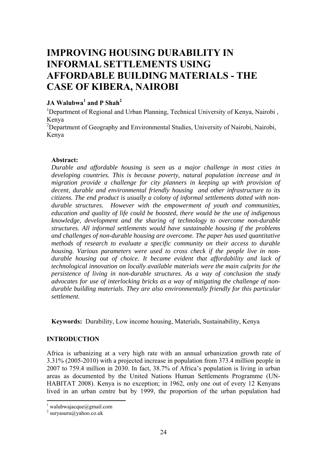# **IMPROVING HOUSING DURABILITY IN INFORMAL SETTLEMENTS USING AFFORDABLE BUILDING MATERIALS - THE CASE OF KIBERA, NAIROBI**

## **JA Walubwa<sup>1</sup> and P Shah2**

<sup>1</sup>Department of Regional and Urban Planning, Technical University of Kenya, Nairobi, Kenya

<sup>2</sup>Department of Geography and Environmental Studies, University of Nairobi, Nairobi, Kenya

#### **Abstract:**

*Durable and affordable housing is seen as a major challenge in most cities in developing countries. This is because poverty, natural population increase and in migration provide a challenge for city planners in keeping up with provision of decent, durable and environmental friendly housing and other infrastructure to its citizens. The end product is usually a colony of informal settlements dotted with nondurable structures. However with the empowerment of youth and communities, education and quality of life could be boosted, there would be the use of indigenous knowledge, development and the sharing of technology to overcome non-durable structures. All informal settlements would have sustainable housing if the problems and challenges of non-durable housing are overcome. The paper has used quantitative methods of research to evaluate a specific community on their access to durable housing. Various parameters were used to cross check if the people live in nondurable housing out of choice. It became evident that affordability and lack of technological innovation on locally available materials were the main culprits for the persistence of living in non-durable structures. As a way of conclusion the study advocates for use of interlocking bricks as a way of mitigating the challenge of nondurable building materials. They are also environmentally friendly for this particular settlement.* 

**Keywords:** Durability, Low income housing, Materials, Sustainability, Kenya

#### **INTRODUCTION**

Africa is urbanizing at a very high rate with an annual urbanization growth rate of 3.31% (2005-2010) with a projected increase in population from 373.4 million people in 2007 to 759.4 million in 2030. In fact, 38.7% of Africa's population is living in urban areas as documented by the United Nations Human Settlements Programme (UN-HABITAT 2008). Kenya is no exception; in 1962, only one out of every 12 Kenyans lived in an urban centre but by 1999, the proportion of the urban population had

 $\frac{1}{1}$  walubwajacque@gmail.com

 $2$  suryasuru@yahoo.co.uk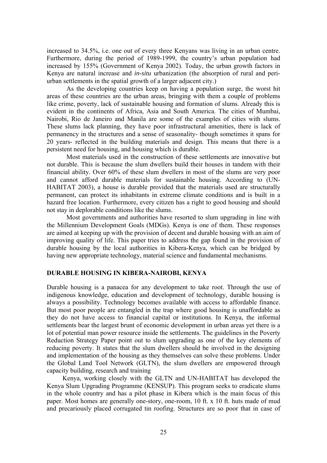increased to 34.5%, i.e. one out of every three Kenyans was living in an urban centre. Furthermore, during the period of 1989-1999, the country's urban population had increased by 155% (Government of Kenya 2002). Today, the urban growth factors in Kenya are natural increase and *in-situ* urbanization (the absorption of rural and periurban settlements in the spatial growth of a larger adjacent city.)

As the developing countries keep on having a population surge, the worst hit areas of these countries are the urban areas, bringing with them a couple of problems like crime, poverty, lack of sustainable housing and formation of slums. Already this is evident in the continents of Africa, Asia and South America. The cities of Mumbai, Nairobi, Rio de Janeiro and Manila are some of the examples of cities with slums. These slums lack planning, they have poor infrastructural amenities, there is lack of permanency in the structures and a sense of seasonality- though sometimes it spans for 20 years- reflected in the building materials and design. This means that there is a persistent need for housing, and housing which is durable.

Most materials used in the construction of these settlements are innovative but not durable. This is because the slum dwellers build their houses in tandem with their financial ability. Over 60% of these slum dwellers in most of the slums are very poor and cannot afford durable materials for sustainable housing. According to (UN-HABITAT 2003), a house is durable provided that the materials used are structurally permanent, can protect its inhabitants in extreme climate conditions and is built in a hazard free location. Furthermore, every citizen has a right to good housing and should not stay in deplorable conditions like the slums.

Most governments and authorities have resorted to slum upgrading in line with the Millennium Development Goals (MDGs). Kenya is one of them. These responses are aimed at keeping up with the provision of decent and durable housing with an aim of improving quality of life. This paper tries to address the gap found in the provision of durable housing by the local authorities in Kibera-Kenya, which can be bridged by having new appropriate technology, material science and fundamental mechanisms.

#### **DURABLE HOUSING IN KIBERA-NAIROBI, KENYA**

Durable housing is a panacea for any development to take root. Through the use of indigenous knowledge, education and development of technology, durable housing is always a possibility. Technology becomes available with access to affordable finance. But most poor people are entangled in the trap where good housing is unaffordable as they do not have access to financial capital or institutions. In Kenya, the informal settlements bear the largest brunt of economic development in urban areas yet there is a lot of potential man power resource inside the settlements. The guidelines in the Poverty Reduction Strategy Paper point out to slum upgrading as one of the key elements of reducing poverty. It states that the slum dwellers should be involved in the designing and implementation of the housing as they themselves can solve these problems. Under the Global Land Tool Network (GLTN), the slum dwellers are empowered through capacity building, research and training

Kenya, working closely with the GLTN and UN-HABITAT has developed the Kenya Slum Upgrading Programme (KENSUP). This program seeks to eradicate slums in the whole country and has a pilot phase in Kibera which is the main focus of this paper. Most homes are generally one-story, one-room, 10 ft. x 10 ft. huts made of mud and precariously placed corrugated tin roofing. Structures are so poor that in case of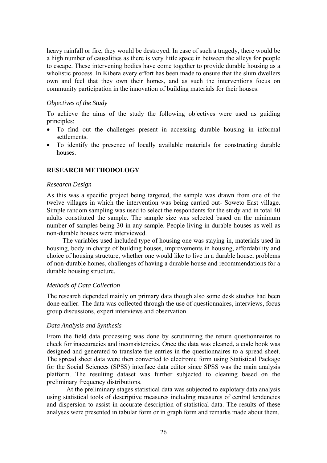heavy rainfall or fire, they would be destroyed. In case of such a tragedy, there would be a high number of causalities as there is very little space in between the alleys for people to escape. These intervening bodies have come together to provide durable housing as a wholistic process. In Kibera every effort has been made to ensure that the slum dwellers own and feel that they own their homes, and as such the interventions focus on community participation in the innovation of building materials for their houses.

#### *Objectives of the Study*

To achieve the aims of the study the following objectives were used as guiding principles:

- To find out the challenges present in accessing durable housing in informal settlements.
- To identify the presence of locally available materials for constructing durable houses.

## **RESEARCH METHODOLOGY**

#### *Research Design*

As this was a specific project being targeted, the sample was drawn from one of the twelve villages in which the intervention was being carried out- Soweto East village. Simple random sampling was used to select the respondents for the study and in total 40 adults constituted the sample. The sample size was selected based on the minimum number of samples being 30 in any sample. People living in durable houses as well as non-durable houses were interviewed.

The variables used included type of housing one was staying in, materials used in housing, body in charge of building houses, improvements in housing, affordability and choice of housing structure, whether one would like to live in a durable house, problems of non-durable homes, challenges of having a durable house and recommendations for a durable housing structure.

#### *Methods of Data Collection*

The research depended mainly on primary data though also some desk studies had been done earlier. The data was collected through the use of questionnaires, interviews, focus group discussions, expert interviews and observation.

#### *Data Analysis and Synthesis*

From the field data processing was done by scrutinizing the return questionnaires to check for inaccuracies and inconsistencies. Once the data was cleaned, a code book was designed and generated to translate the entries in the questionnaires to a spread sheet. The spread sheet data were then converted to electronic form using Statistical Package for the Social Sciences (SPSS) interface data editor since SPSS was the main analysis platform. The resulting dataset was further subjected to cleaning based on the preliminary frequency distributions.

At the preliminary stages statistical data was subjected to explotary data analysis using statistical tools of descriptive measures including measures of central tendencies and dispersion to assist in accurate description of statistical data. The results of these analyses were presented in tabular form or in graph form and remarks made about them.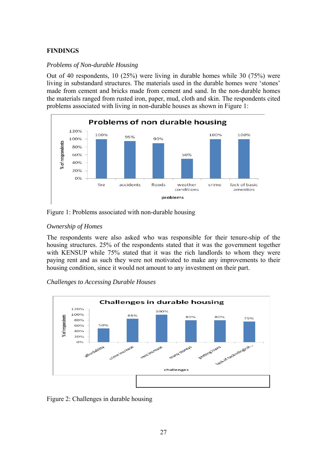## **FINDINGS**

#### *Problems of Non-durable Housing*

Out of 40 respondents, 10 (25%) were living in durable homes while 30 (75%) were living in substandard structures. The materials used in the durable homes were 'stones' made from cement and bricks made from cement and sand. In the non-durable homes the materials ranged from rusted iron, paper, mud, cloth and skin. The respondents cited problems associated with living in non-durable houses as shown in Figure 1:



Figure 1: Problems associated with non-durable housing

#### *Ownership of Homes*

The respondents were also asked who was responsible for their tenure-ship of the housing structures. 25% of the respondents stated that it was the government together with KENSUP while 75% stated that it was the rich landlords to whom they were paying rent and as such they were not motivated to make any improvements to their housing condition, since it would not amount to any investment on their part.

#### *Challenges to Accessing Durable Houses*



Figure 2: Challenges in durable housing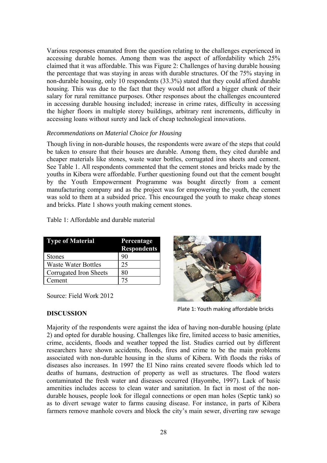Various responses emanated from the question relating to the challenges experienced in accessing durable homes. Among them was the aspect of affordability which 25% claimed that it was affordable. This was Figure 2: Challenges of having durable housing the percentage that was staying in areas with durable structures. Of the 75% staying in non-durable housing, only 10 respondents (33.3%) stated that they could afford durable housing. This was due to the fact that they would not afford a bigger chunk of their salary for rural remittance purposes. Other responses about the challenges encountered in accessing durable housing included; increase in crime rates, difficulty in accessing the higher floors in multiple storey buildings, arbitrary rent increments, difficulty in accessing loans without surety and lack of cheap technological innovations.

#### *Recommendations on Material Choice for Housing*

Though living in non-durable houses, the respondents were aware of the steps that could be taken to ensure that their houses are durable. Among them, they cited durable and cheaper materials like stones, waste water bottles, corrugated iron sheets and cement. See Table 1. All respondents commented that the cement stones and bricks made by the youths in Kibera were affordable. Further questioning found out that the cement bought by the Youth Empowerment Programme was bought directly from a cement manufacturing company and as the project was for empowering the youth, the cement was sold to them at a subsided price. This encouraged the youth to make cheap stones and bricks. Plate 1 shows youth making cement stones.

|  |  | Table 1: Affordable and durable material |
|--|--|------------------------------------------|
|  |  |                                          |

| <b>Type of Material</b>    | Percentage         |  |
|----------------------------|--------------------|--|
|                            | <b>Respondents</b> |  |
| <b>Stones</b>              | 90                 |  |
| <b>Waste Water Bottles</b> | 25                 |  |
| Corrugated Iron Sheets     | 80                 |  |
| Cement                     | 75                 |  |

Source: Field Work 2012



Plate 1: Youth making affordable bricks

## **DISCUSSION**

Majority of the respondents were against the idea of having non-durable housing (plate 2) and opted for durable housing. Challenges like fire, limited access to basic amenities, crime, accidents, floods and weather topped the list. Studies carried out by different researchers have shown accidents, floods, fires and crime to be the main problems associated with non-durable housing in the slums of Kibera. With floods the risks of diseases also increases. In 1997 the El Nino rains created severe floods which led to deaths of humans, destruction of property as well as structures. The flood waters contaminated the fresh water and diseases occurred (Hayombe, 1997). Lack of basic amenities includes access to clean water and sanitation. In fact in most of the nondurable houses, people look for illegal connections or open man holes (Septic tank) so as to divert sewage water to farms causing disease. For instance, in parts of Kibera farmers remove manhole covers and block the city's main sewer, diverting raw sewage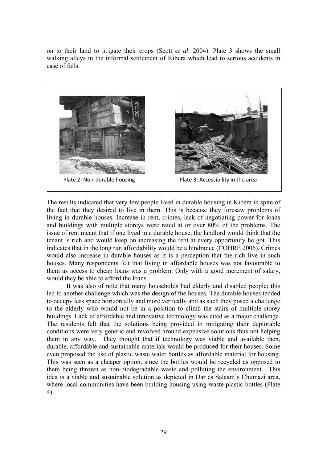on to their land to irrigate their crops (Scott *et al*. 2004). Plate 3 shows the small walking alleys in the informal settlement of Kibera which lead to serious accidents in case of falls.



The results indicated that very few people lived in durable housing in Kibera in spite of the fact that they desired to live in them. This is because they foresaw problems of living in durable houses. Increase in rent, crimes, lack of negotiating power for loans and buildings with multiple storeys were rated at or over 80% of the problems. The issue of rent meant that if one lived in a durable house, the landlord would think that the tenant is rich and would keep on increasing the rent at every opportunity he got. This indicates that in the long run affordability would be a hindrance (COHRE 2006). Crimes would also increase in durable houses as it is a perception that the rich live in such houses. Many respondents felt that living in affordable houses was not favourable to them as access to cheap loans was a problem. Only with a good increment of salary, would they be able to afford the loans.

It was also of note that many households had elderly and disabled people; this led to another challenge which was the design of the houses. The durable houses tended to occupy less space horizontally and more vertically and as such they posed a challenge to the elderly who would not be in a position to climb the stairs of multiple storey buildings. Lack of affordable and innovative technology was cited as a major challenge. The residents felt that the solutions being provided in mitigating their deplorable conditions were very generic and revolved around expensive solutions thus not helping them in any way. They thought that if technology was viable and available then, durable, affordable and sustainable materials would be produced for their houses. Some even proposed the use of plastic waste water bottles as affordable material for housing. This was seen as a cheaper option, since the bottles would be recycled as opposed to them being thrown as non-biodegradable waste and polluting the environment. This idea is a viable and sustainable solution as depicted in Dar es Salaam's Chumazi area, where local communities have been building housing using waste plastic bottles (Plate 4).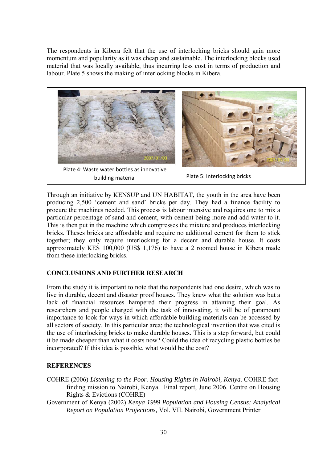The respondents in Kibera felt that the use of interlocking bricks should gain more momentum and popularity as it was cheap and sustainable. The interlocking blocks used material that was locally available, thus incurring less cost in terms of production and labour. Plate 5 shows the making of interlocking blocks in Kibera.





Plate 4: Waste water bottles as innovative building material

Plate 5: Interlocking bricks

Through an initiative by KENSUP and UN HABITAT, the youth in the area have been producing 2,500 'cement and sand' bricks per day. They had a finance facility to procure the machines needed. This process is labour intensive and requires one to mix a particular percentage of sand and cement, with cement being more and add water to it. This is then put in the machine which compresses the mixture and produces interlocking bricks. Theses bricks are affordable and require no additional cement for them to stick together; they only require interlocking for a decent and durable house. It costs approximately KES 100,000 (US\$ 1,176) to have a 2 roomed house in Kibera made from these interlocking bricks.

## **CONCLUSIONS AND FURTHER RESEARCH**

From the study it is important to note that the respondents had one desire, which was to live in durable, decent and disaster proof houses. They knew what the solution was but a lack of financial resources hampered their progress in attaining their goal. As researchers and people charged with the task of innovating, it will be of paramount importance to look for ways in which affordable building materials can be accessed by all sectors of society. In this particular area; the technological invention that was cited is the use of interlocking bricks to make durable houses. This is a step forward, but could it be made cheaper than what it costs now? Could the idea of recycling plastic bottles be incorporated? If this idea is possible, what would be the cost?

## **REFERENCES**

- COHRE (2006) *Listening to the Poor. Housing Rights in Nairobi, Kenya*. COHRE factfinding mission to Nairobi, Kenya. Final report, June 2006. Centre on Housing Rights & Evictions (COHRE)
- Government of Kenya (2002) *Kenya 1999 Population and Housing Census: Analytical Report on Population Projections,* Vol. VII. Nairobi, Government Printer